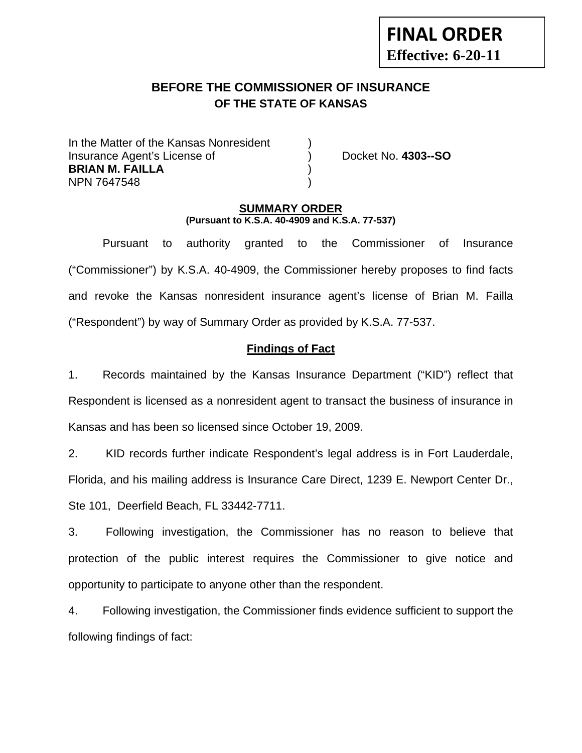# **BEFORE THE COMMISSIONER OF INSURANCE OF THE STATE OF KANSAS**

In the Matter of the Kansas Nonresident Insurance Agent's License of ) Docket No. **4303--SO BRIAN M. FAILLA** ) NPN 7647548 )

**FINAL ORDER**

**Effective: 6-20-11** 

## **SUMMARY ORDER (Pursuant to K.S.A. 40-4909 and K.S.A. 77-537)**

 Pursuant to authority granted to the Commissioner of Insurance ("Commissioner") by K.S.A. 40-4909, the Commissioner hereby proposes to find facts and revoke the Kansas nonresident insurance agent's license of Brian M. Failla ("Respondent") by way of Summary Order as provided by K.S.A. 77-537.

## **Findings of Fact**

1. Records maintained by the Kansas Insurance Department ("KID") reflect that Respondent is licensed as a nonresident agent to transact the business of insurance in Kansas and has been so licensed since October 19, 2009.

2. KID records further indicate Respondent's legal address is in Fort Lauderdale, Florida, and his mailing address is Insurance Care Direct, 1239 E. Newport Center Dr., Ste 101, Deerfield Beach, FL 33442-7711.

3. Following investigation, the Commissioner has no reason to believe that protection of the public interest requires the Commissioner to give notice and opportunity to participate to anyone other than the respondent.

4. Following investigation, the Commissioner finds evidence sufficient to support the following findings of fact: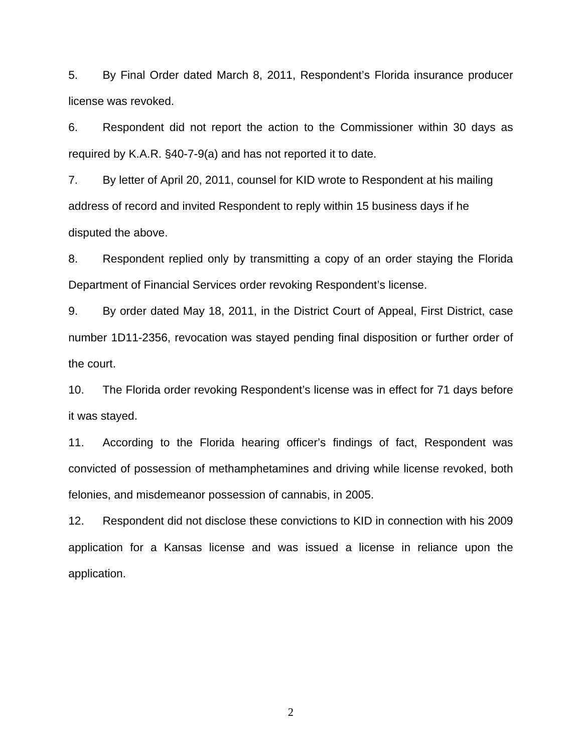5. By Final Order dated March 8, 2011, Respondent's Florida insurance producer license was revoked.

6. Respondent did not report the action to the Commissioner within 30 days as required by K.A.R. §40-7-9(a) and has not reported it to date.

7. By letter of April 20, 2011, counsel for KID wrote to Respondent at his mailing address of record and invited Respondent to reply within 15 business days if he disputed the above.

8. Respondent replied only by transmitting a copy of an order staying the Florida Department of Financial Services order revoking Respondent's license.

9. By order dated May 18, 2011, in the District Court of Appeal, First District, case number 1D11-2356, revocation was stayed pending final disposition or further order of the court.

10. The Florida order revoking Respondent's license was in effect for 71 days before it was stayed.

11. According to the Florida hearing officer's findings of fact, Respondent was convicted of possession of methamphetamines and driving while license revoked, both felonies, and misdemeanor possession of cannabis, in 2005.

12. Respondent did not disclose these convictions to KID in connection with his 2009 application for a Kansas license and was issued a license in reliance upon the application.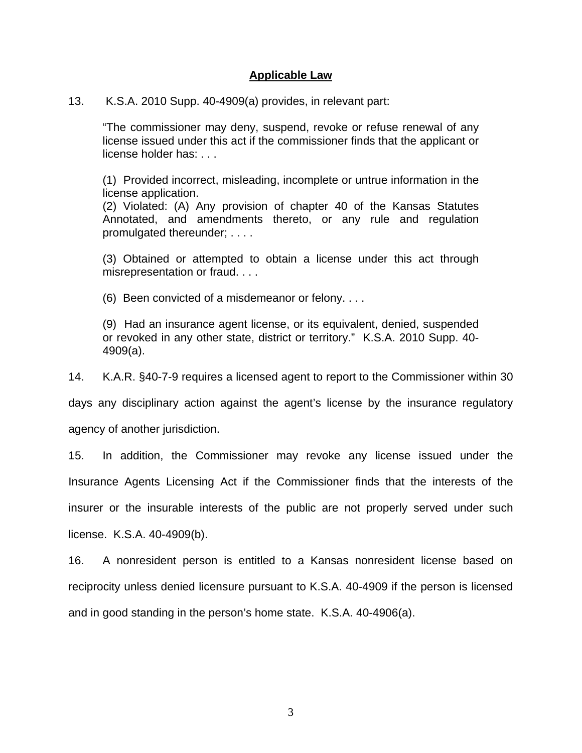## **Applicable Law**

13. K.S.A. 2010 Supp. 40-4909(a) provides, in relevant part:

"The commissioner may deny, suspend, revoke or refuse renewal of any license issued under this act if the commissioner finds that the applicant or license holder has: . . .

(1) Provided incorrect, misleading, incomplete or untrue information in the license application.

(2) Violated: (A) Any provision of chapter 40 of the Kansas Statutes Annotated, and amendments thereto, or any rule and regulation promulgated thereunder; . . . .

(3) Obtained or attempted to obtain a license under this act through misrepresentation or fraud. . . .

(6) Been convicted of a misdemeanor or felony. . . .

(9) Had an insurance agent license, or its equivalent, denied, suspended or revoked in any other state, district or territory." K.S.A. 2010 Supp. 40- 4909(a).

14. K.A.R. §40-7-9 requires a licensed agent to report to the Commissioner within 30

days any disciplinary action against the agent's license by the insurance regulatory

agency of another jurisdiction.

15. In addition, the Commissioner may revoke any license issued under the Insurance Agents Licensing Act if the Commissioner finds that the interests of the insurer or the insurable interests of the public are not properly served under such license. K.S.A. 40-4909(b).

16. A nonresident person is entitled to a Kansas nonresident license based on reciprocity unless denied licensure pursuant to K.S.A. 40-4909 if the person is licensed and in good standing in the person's home state. K.S.A. 40-4906(a).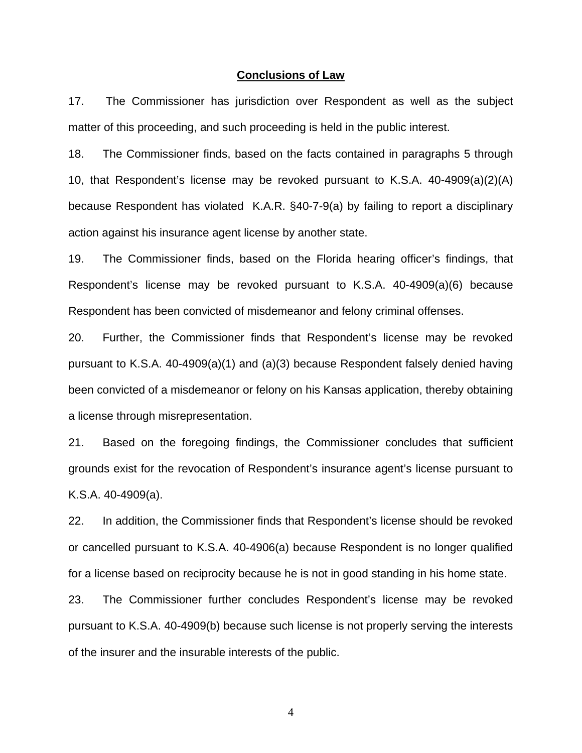#### **Conclusions of Law**

17. The Commissioner has jurisdiction over Respondent as well as the subject matter of this proceeding, and such proceeding is held in the public interest.

18. The Commissioner finds, based on the facts contained in paragraphs 5 through 10, that Respondent's license may be revoked pursuant to K.S.A. 40-4909(a)(2)(A) because Respondent has violated K.A.R. §40-7-9(a) by failing to report a disciplinary action against his insurance agent license by another state.

19. The Commissioner finds, based on the Florida hearing officer's findings, that Respondent's license may be revoked pursuant to K.S.A. 40-4909(a)(6) because Respondent has been convicted of misdemeanor and felony criminal offenses.

20. Further, the Commissioner finds that Respondent's license may be revoked pursuant to K.S.A. 40-4909(a)(1) and (a)(3) because Respondent falsely denied having been convicted of a misdemeanor or felony on his Kansas application, thereby obtaining a license through misrepresentation.

21. Based on the foregoing findings, the Commissioner concludes that sufficient grounds exist for the revocation of Respondent's insurance agent's license pursuant to K.S.A. 40-4909(a).

22. In addition, the Commissioner finds that Respondent's license should be revoked or cancelled pursuant to K.S.A. 40-4906(a) because Respondent is no longer qualified for a license based on reciprocity because he is not in good standing in his home state.

23. The Commissioner further concludes Respondent's license may be revoked pursuant to K.S.A. 40-4909(b) because such license is not properly serving the interests of the insurer and the insurable interests of the public.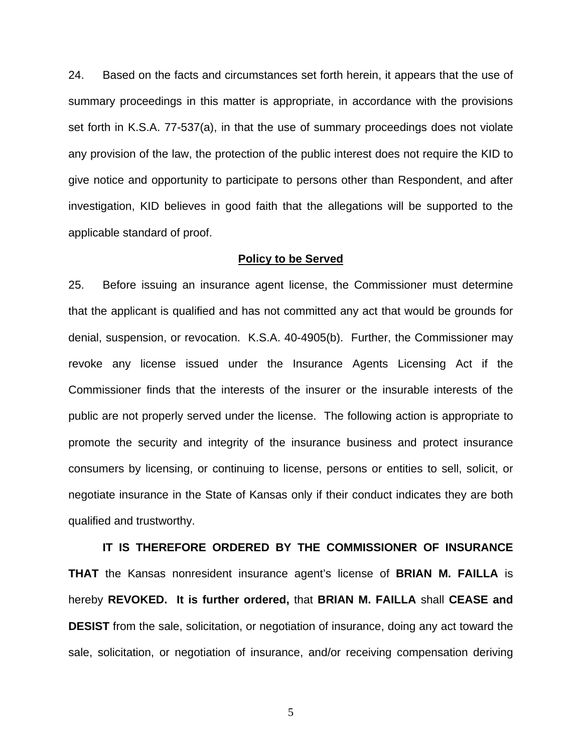24. Based on the facts and circumstances set forth herein, it appears that the use of summary proceedings in this matter is appropriate, in accordance with the provisions set forth in K.S.A. 77-537(a), in that the use of summary proceedings does not violate any provision of the law, the protection of the public interest does not require the KID to give notice and opportunity to participate to persons other than Respondent, and after investigation, KID believes in good faith that the allegations will be supported to the applicable standard of proof.

#### **Policy to be Served**

25. Before issuing an insurance agent license, the Commissioner must determine that the applicant is qualified and has not committed any act that would be grounds for denial, suspension, or revocation. K.S.A. 40-4905(b). Further, the Commissioner may revoke any license issued under the Insurance Agents Licensing Act if the Commissioner finds that the interests of the insurer or the insurable interests of the public are not properly served under the license. The following action is appropriate to promote the security and integrity of the insurance business and protect insurance consumers by licensing, or continuing to license, persons or entities to sell, solicit, or negotiate insurance in the State of Kansas only if their conduct indicates they are both qualified and trustworthy.

 **IT IS THEREFORE ORDERED BY THE COMMISSIONER OF INSURANCE THAT** the Kansas nonresident insurance agent's license of **BRIAN M. FAILLA** is hereby **REVOKED. It is further ordered,** that **BRIAN M. FAILLA** shall **CEASE and DESIST** from the sale, solicitation, or negotiation of insurance, doing any act toward the sale, solicitation, or negotiation of insurance, and/or receiving compensation deriving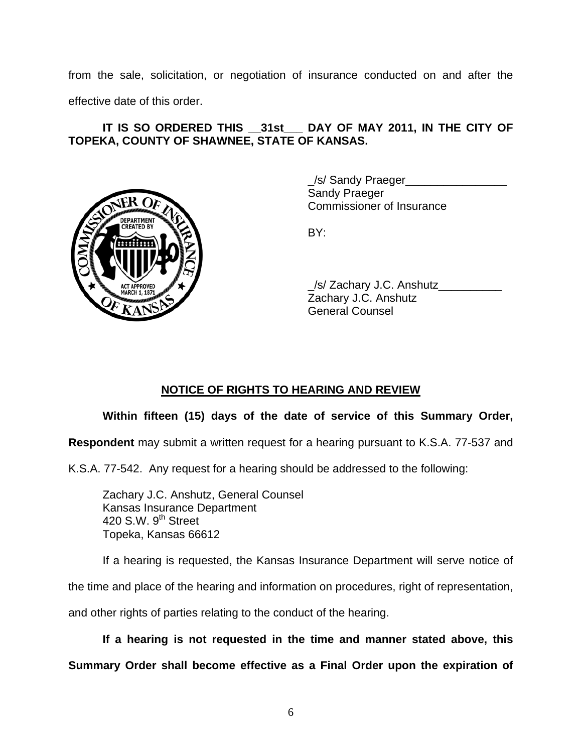from the sale, solicitation, or negotiation of insurance conducted on and after the effective date of this order.

# **IT IS SO ORDERED THIS \_\_31st\_\_\_ DAY OF MAY 2011, IN THE CITY OF TOPEKA, COUNTY OF SHAWNEE, STATE OF KANSAS.**



/s/ Sandy Praeger Sandy Praeger Commissioner of Insurance

 \_/s/ Zachary J.C. Anshutz\_\_\_\_\_\_\_\_\_\_ Zachary J.C. Anshutz General Counsel

# **NOTICE OF RIGHTS TO HEARING AND REVIEW**

# **Within fifteen (15) days of the date of service of this Summary Order,**

**Respondent** may submit a written request for a hearing pursuant to K.S.A. 77-537 and

K.S.A. 77-542. Any request for a hearing should be addressed to the following:

 Zachary J.C. Anshutz, General Counsel Kansas Insurance Department 420 S.W.  $9<sup>th</sup>$  Street Topeka, Kansas 66612

If a hearing is requested, the Kansas Insurance Department will serve notice of

the time and place of the hearing and information on procedures, right of representation,

and other rights of parties relating to the conduct of the hearing.

**If a hearing is not requested in the time and manner stated above, this** 

**Summary Order shall become effective as a Final Order upon the expiration of**